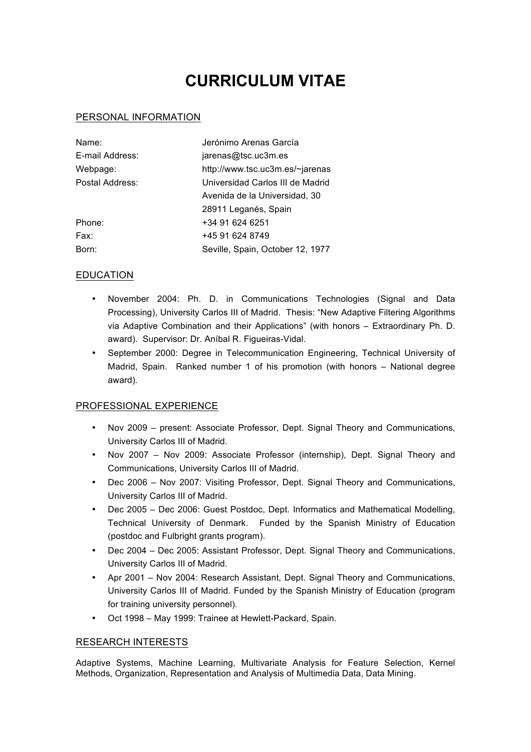# **CURRICULUM VITAE**

## PERSONAL INFORMATION

| Name:           | Jerónimo Arenas García           |
|-----------------|----------------------------------|
| E-mail Address: | jarenas@tsc.uc3m.es              |
| Webpage:        | http://www.tsc.uc3m.es/~jarenas  |
| Postal Address: | Universidad Carlos III de Madrid |
|                 | Avenida de la Universidad, 30    |
|                 | 28911 Leganés, Spain             |
| Phone:          | +34 91 624 6251                  |
| Fax:            | +45 91 624 8749                  |
| Born:           | Seville, Spain, October 12, 1977 |

## EDUCATION

- November 2004: Ph. D. in Communications Technologies (Signal and Data Processing), University Carlos III of Madrid. Thesis: "New Adaptive Filtering Algorithms via Adaptive Combination and their Applications" (with honors – Extraordinary Ph. D. award). Supervisor: Dr. Aníbal R. Figueiras-Vidal.
- September 2000: Degree in Telecommunication Engineering, Technical University of Madrid, Spain. Ranked number 1 of his promotion (with honors – National degree award).

## PROFESSIONAL EXPERIENCE

- Nov 2009 present: Associate Professor, Dept. Signal Theory and Communications, University Carlos III of Madrid.
- Nov 2007 Nov 2009: Associate Professor (internship), Dept. Signal Theory and Communications, University Carlos III of Madrid.
- Dec 2006 Nov 2007: Visiting Professor, Dept. Signal Theory and Communications, University Carlos III of Madrid.
- Dec 2005 Dec 2006: Guest Postdoc, Dept. Informatics and Mathematical Modelling, Technical University of Denmark. Funded by the Spanish Ministry of Education (postdoc and Fulbright grants program).
- Dec 2004 Dec 2005: Assistant Professor, Dept. Signal Theory and Communications, University Carlos III of Madrid.
- Apr 2001 Nov 2004: Research Assistant, Dept. Signal Theory and Communications, University Carlos III of Madrid. Funded by the Spanish Ministry of Education (program for training university personnel).
- Oct 1998 May 1999: Trainee at Hewlett-Packard, Spain.

## RESEARCH INTERESTS

Adaptive Systems, Machine Learning, Multivariate Analysis for Feature Selection, Kernel Methods, Organization, Representation and Analysis of Multimedia Data, Data Mining.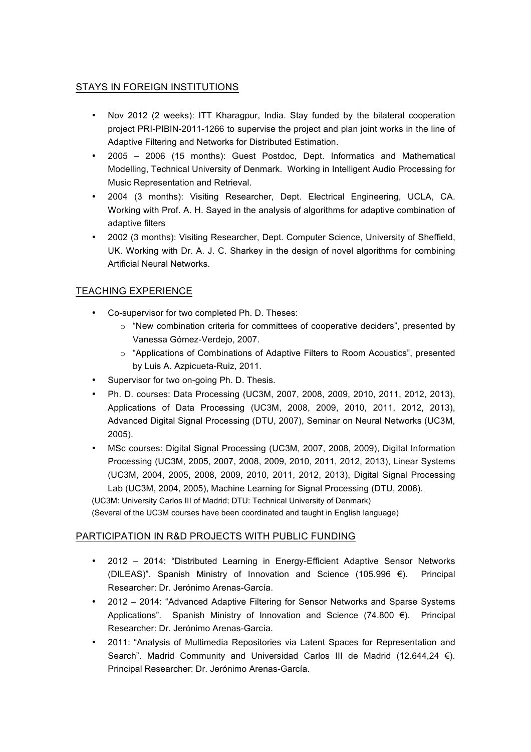# STAYS IN FOREIGN INSTITUTIONS

- Nov 2012 (2 weeks): ITT Kharagpur, India. Stay funded by the bilateral cooperation project PRI-PIBIN-2011-1266 to supervise the project and plan joint works in the line of Adaptive Filtering and Networks for Distributed Estimation.
- 2005 2006 (15 months): Guest Postdoc, Dept. Informatics and Mathematical Modelling, Technical University of Denmark. Working in Intelligent Audio Processing for Music Representation and Retrieval.
- 2004 (3 months): Visiting Researcher, Dept. Electrical Engineering, UCLA, CA. Working with Prof. A. H. Sayed in the analysis of algorithms for adaptive combination of adaptive filters
- 2002 (3 months): Visiting Researcher, Dept. Computer Science, University of Sheffield, UK. Working with Dr. A. J. C. Sharkey in the design of novel algorithms for combining Artificial Neural Networks.

# TEACHING EXPERIENCE

- Co-supervisor for two completed Ph. D. Theses:
	- $\circ$  "New combination criteria for committees of cooperative deciders", presented by Vanessa Gómez-Verdejo, 2007.
	- o "Applications of Combinations of Adaptive Filters to Room Acoustics", presented by Luis A. Azpicueta-Ruiz, 2011.
- Supervisor for two on-going Ph. D. Thesis.
- Ph. D. courses: Data Processing (UC3M, 2007, 2008, 2009, 2010, 2011, 2012, 2013), Applications of Data Processing (UC3M, 2008, 2009, 2010, 2011, 2012, 2013), Advanced Digital Signal Processing (DTU, 2007), Seminar on Neural Networks (UC3M, 2005).
- MSc courses: Digital Signal Processing (UC3M, 2007, 2008, 2009), Digital Information Processing (UC3M, 2005, 2007, 2008, 2009, 2010, 2011, 2012, 2013), Linear Systems (UC3M, 2004, 2005, 2008, 2009, 2010, 2011, 2012, 2013), Digital Signal Processing Lab (UC3M, 2004, 2005), Machine Learning for Signal Processing (DTU, 2006).

(UC3M: University Carlos III of Madrid; DTU: Technical University of Denmark)

(Several of the UC3M courses have been coordinated and taught in English language)

## PARTICIPATION IN R&D PROJECTS WITH PUBLIC FUNDING

- 2012 2014: "Distributed Learning in Energy-Efficient Adaptive Sensor Networks (DILEAS)". Spanish Ministry of Innovation and Science (105.996 €). Principal Researcher: Dr. Jerónimo Arenas-García.
- 2012 2014: "Advanced Adaptive Filtering for Sensor Networks and Sparse Systems Applications". Spanish Ministry of Innovation and Science (74.800  $\epsilon$ ). Principal Researcher: Dr. Jerónimo Arenas-García.
- 2011: "Analysis of Multimedia Repositories via Latent Spaces for Representation and Search". Madrid Community and Universidad Carlos III de Madrid (12.644,24  $\epsilon$ ). Principal Researcher: Dr. Jerónimo Arenas-García.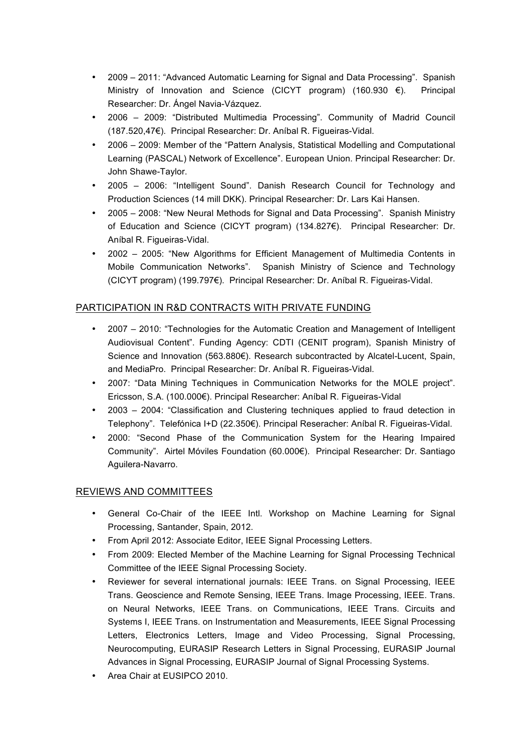- 2009 2011: "Advanced Automatic Learning for Signal and Data Processing". Spanish Ministry of Innovation and Science (CICYT program) (160.930 €). Principal Researcher: Dr. Ángel Navia-Vázquez.
- 2006 2009: "Distributed Multimedia Processing". Community of Madrid Council (187.520,47€). Principal Researcher: Dr. Aníbal R. Figueiras-Vidal.
- 2006 2009: Member of the "Pattern Analysis, Statistical Modelling and Computational Learning (PASCAL) Network of Excellence". European Union. Principal Researcher: Dr. John Shawe-Taylor.
- 2005 2006: "Intelligent Sound". Danish Research Council for Technology and Production Sciences (14 mill DKK). Principal Researcher: Dr. Lars Kai Hansen.
- 2005 2008: "New Neural Methods for Signal and Data Processing". Spanish Ministry of Education and Science (CICYT program) (134.827€). Principal Researcher: Dr. Aníbal R. Figueiras-Vidal.
- 2002 2005: "New Algorithms for Efficient Management of Multimedia Contents in Mobile Communication Networks". Spanish Ministry of Science and Technology (CICYT program) (199.797€). Principal Researcher: Dr. Aníbal R. Figueiras-Vidal.

## PARTICIPATION IN R&D CONTRACTS WITH PRIVATE FUNDING

- 2007 2010: "Technologies for the Automatic Creation and Management of Intelligent Audiovisual Content". Funding Agency: CDTI (CENIT program), Spanish Ministry of Science and Innovation (563.880€). Research subcontracted by Alcatel-Lucent, Spain, and MediaPro. Principal Researcher: Dr. Aníbal R. Figueiras-Vidal.
- 2007: "Data Mining Techniques in Communication Networks for the MOLE project". Ericsson, S.A. (100.000€). Principal Researcher: Aníbal R. Figueiras-Vidal
- 2003 2004: "Classification and Clustering techniques applied to fraud detection in Telephony". Telefónica I+D (22.350€). Principal Reseracher: Aníbal R. Figueiras-Vidal.
- 2000: "Second Phase of the Communication System for the Hearing Impaired Community". Airtel Móviles Foundation (60.000€). Principal Researcher: Dr. Santiago Aguilera-Navarro.

## REVIEWS AND COMMITTEES

- General Co-Chair of the IEEE Intl. Workshop on Machine Learning for Signal Processing, Santander, Spain, 2012.
- From April 2012: Associate Editor, IEEE Signal Processing Letters.
- From 2009: Elected Member of the Machine Learning for Signal Processing Technical Committee of the IEEE Signal Processing Society.
- Reviewer for several international journals: IEEE Trans. on Signal Processing, IEEE Trans. Geoscience and Remote Sensing, IEEE Trans. Image Processing, IEEE. Trans. on Neural Networks, IEEE Trans. on Communications, IEEE Trans. Circuits and Systems I, IEEE Trans. on Instrumentation and Measurements, IEEE Signal Processing Letters, Electronics Letters, Image and Video Processing, Signal Processing, Neurocomputing, EURASIP Research Letters in Signal Processing, EURASIP Journal Advances in Signal Processing, EURASIP Journal of Signal Processing Systems.
- Area Chair at EUSIPCO 2010.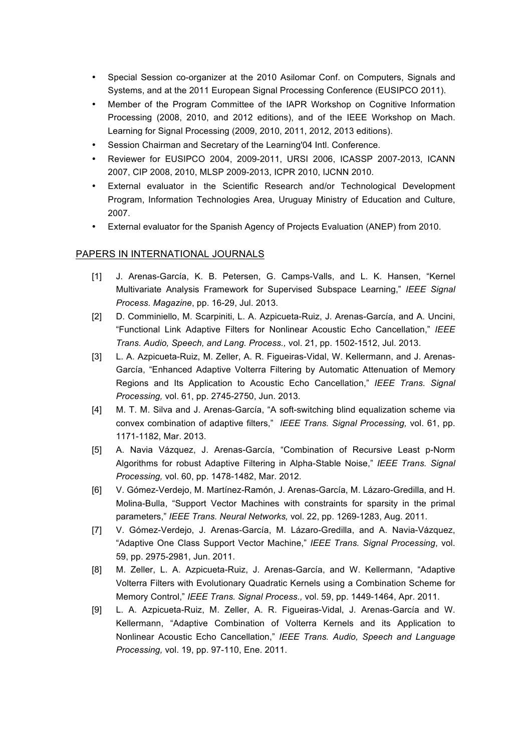- Special Session co-organizer at the 2010 Asilomar Conf. on Computers, Signals and Systems, and at the 2011 European Signal Processing Conference (EUSIPCO 2011).
- Member of the Program Committee of the IAPR Workshop on Cognitive Information Processing (2008, 2010, and 2012 editions), and of the IEEE Workshop on Mach. Learning for Signal Processing (2009, 2010, 2011, 2012, 2013 editions).
- Session Chairman and Secretary of the Learning'04 Intl. Conference.
- Reviewer for EUSIPCO 2004, 2009-2011, URSI 2006, ICASSP 2007-2013, ICANN 2007, CIP 2008, 2010, MLSP 2009-2013, ICPR 2010, IJCNN 2010.
- External evaluator in the Scientific Research and/or Technological Development Program, Information Technologies Area, Uruguay Ministry of Education and Culture, 2007.
- External evaluator for the Spanish Agency of Projects Evaluation (ANEP) from 2010.

#### PAPERS IN INTERNATIONAL JOURNALS

- [1] J. Arenas-García, K. B. Petersen, G. Camps-Valls, and L. K. Hansen, "Kernel Multivariate Analysis Framework for Supervised Subspace Learning," *IEEE Signal Process. Magazine*, pp. 16-29, Jul. 2013.
- [2] D. Comminiello, M. Scarpiniti, L. A. Azpicueta-Ruiz, J. Arenas-García, and A. Uncini, "Functional Link Adaptive Filters for Nonlinear Acoustic Echo Cancellation," *IEEE Trans. Audio, Speech, and Lang. Process.,* vol. 21, pp. 1502-1512, Jul. 2013.
- [3] L. A. Azpicueta-Ruiz, M. Zeller, A. R. Figueiras-Vidal, W. Kellermann, and J. Arenas-García, "Enhanced Adaptive Volterra Filtering by Automatic Attenuation of Memory Regions and Its Application to Acoustic Echo Cancellation," *IEEE Trans. Signal Processing,* vol. 61, pp. 2745-2750, Jun. 2013.
- [4] M. T. M. Silva and J. Arenas-García, "A soft-switching blind equalization scheme via convex combination of adaptive filters," *IEEE Trans. Signal Processing,* vol. 61, pp. 1171-1182, Mar. 2013.
- [5] A. Navia Vázquez, J. Arenas-García, "Combination of Recursive Least p-Norm Algorithms for robust Adaptive Filtering in Alpha-Stable Noise," *IEEE Trans. Signal Processing,* vol. 60, pp. 1478-1482, Mar. 2012.
- [6] V. Gómez-Verdejo, M. Martínez-Ramón, J. Arenas-García, M. Lázaro-Gredilla, and H. Molina-Bulla, "Support Vector Machines with constraints for sparsity in the primal parameters," *IEEE Trans. Neural Networks,* vol. 22, pp. 1269-1283, Aug. 2011.
- [7] V. Gómez-Verdejo, J. Arenas-García, M. Lázaro-Gredilla, and A. Navia-Vázquez, "Adaptive One Class Support Vector Machine," *IEEE Trans. Signal Processing*, vol. 59, pp. 2975-2981, Jun. 2011.
- [8] M. Zeller, L. A. Azpicueta-Ruiz, J. Arenas-García, and W. Kellermann, "Adaptive Volterra Filters with Evolutionary Quadratic Kernels using a Combination Scheme for Memory Control," *IEEE Trans. Signal Process.,* vol. 59, pp. 1449-1464, Apr. 2011.
- [9] L. A. Azpicueta-Ruiz, M. Zeller, A. R. Figueiras-Vidal, J. Arenas-García and W. Kellermann, "Adaptive Combination of Volterra Kernels and its Application to Nonlinear Acoustic Echo Cancellation," *IEEE Trans. Audio, Speech and Language Processing,* vol. 19, pp. 97-110, Ene. 2011.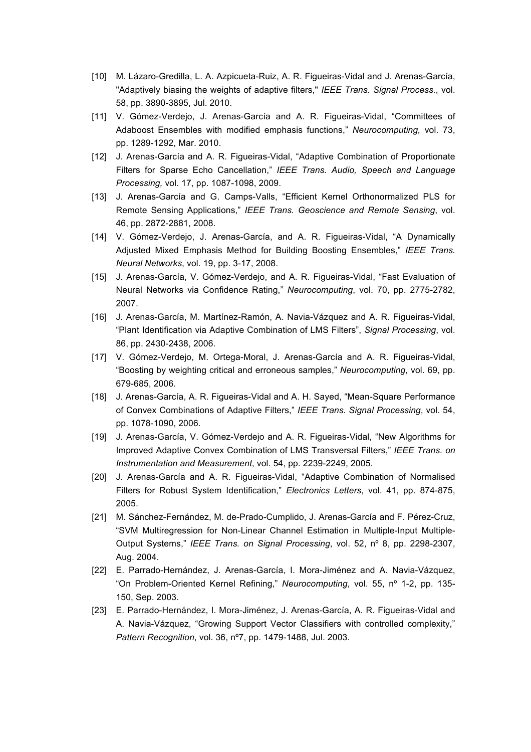- [10] M. Lázaro-Gredilla, L. A. Azpicueta-Ruiz, A. R. Figueiras-Vidal and J. Arenas-García, "Adaptively biasing the weights of adaptive filters," *IEEE Trans. Signal Process.*, vol. 58, pp. 3890-3895, Jul. 2010.
- [11] V. Gómez-Verdejo, J. Arenas-García and A. R. Figueiras-Vidal, "Committees of Adaboost Ensembles with modified emphasis functions," *Neurocomputing,* vol. 73, pp. 1289-1292, Mar. 2010.
- [12] J. Arenas-García and A. R. Figueiras-Vidal, "Adaptive Combination of Proportionate Filters for Sparse Echo Cancellation," *IEEE Trans. Audio, Speech and Language Processing,* vol. 17, pp. 1087-1098, 2009.
- [13] J. Arenas-García and G. Camps-Valls, "Efficient Kernel Orthonormalized PLS for Remote Sensing Applications," *IEEE Trans. Geoscience and Remote Sensing*, vol. 46, pp. 2872-2881, 2008.
- [14] V. Gómez-Verdejo, J. Arenas-García, and A. R. Figueiras-Vidal, "A Dynamically Adjusted Mixed Emphasis Method for Building Boosting Ensembles," *IEEE Trans. Neural Networks*, vol. 19, pp. 3-17, 2008.
- [15] J. Arenas-García, V. Gómez-Verdejo, and A. R. Figueiras-Vidal, "Fast Evaluation of Neural Networks via Confidence Rating," *Neurocomputing*, vol. 70, pp. 2775-2782, 2007.
- [16] J. Arenas-García, M. Martínez-Ramón, A. Navia-Vázquez and A. R. Figueiras-Vidal, "Plant Identification via Adaptive Combination of LMS Filters", *Signal Processing*, vol. 86, pp. 2430-2438, 2006.
- [17] V. Gómez-Verdejo, M. Ortega-Moral, J. Arenas-García and A. R. Figueiras-Vidal, "Boosting by weighting critical and erroneous samples," *Neurocomputing*, vol. 69, pp. 679-685, 2006.
- [18] J. Arenas-García, A. R. Figueiras-Vidal and A. H. Sayed, "Mean-Square Performance of Convex Combinations of Adaptive Filters," *IEEE Trans. Signal Processing*, vol. 54, pp. 1078-1090, 2006.
- [19] J. Arenas-García, V. Gómez-Verdejo and A. R. Figueiras-Vidal, "New Algorithms for Improved Adaptive Convex Combination of LMS Transversal Filters," *IEEE Trans. on Instrumentation and Measurement*, vol. 54, pp. 2239-2249, 2005.
- [20] J. Arenas-García and A. R. Figueiras-Vidal, "Adaptive Combination of Normalised Filters for Robust System Identification," *Electronics Letters*, vol. 41, pp. 874-875, 2005.
- [21] M. Sánchez-Fernández, M. de-Prado-Cumplido, J. Arenas-García and F. Pérez-Cruz, "SVM Multiregression for Non-Linear Channel Estimation in Multiple-Input Multiple-Output Systems," *IEEE Trans. on Signal Processing*, vol. 52, nº 8, pp. 2298-2307, Aug. 2004.
- [22] E. Parrado-Hernández, J. Arenas-García, I. Mora-Jiménez and A. Navia-Vázquez, "On Problem-Oriented Kernel Refining," *Neurocomputing*, vol. 55, nº 1-2, pp. 135- 150, Sep. 2003.
- [23] E. Parrado-Hernández, I. Mora-Jiménez, J. Arenas-García, A. R. Figueiras-Vidal and A. Navia-Vázquez, "Growing Support Vector Classifiers with controlled complexity," *Pattern Recognition*, vol. 36, nº7, pp. 1479-1488, Jul. 2003.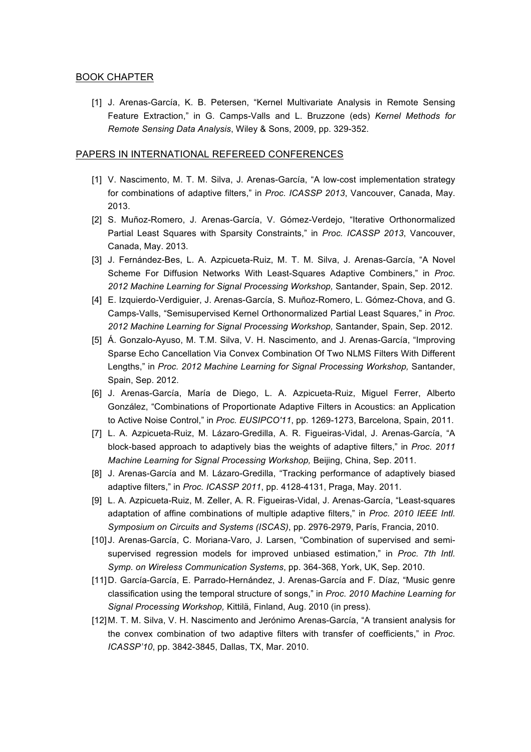## BOOK CHAPTER

[1] J. Arenas-García, K. B. Petersen, "Kernel Multivariate Analysis in Remote Sensing Feature Extraction," in G. Camps-Valls and L. Bruzzone (eds) *Kernel Methods for Remote Sensing Data Analysis*, Wiley & Sons, 2009, pp. 329-352.

#### PAPERS IN INTERNATIONAL REFEREED CONFERENCES

- [1] V. Nascimento, M. T. M. Silva, J. Arenas-García, "A low-cost implementation strategy for combinations of adaptive filters," in *Proc. ICASSP 2013*, Vancouver, Canada, May. 2013.
- [2] S. Muñoz-Romero, J. Arenas-García, V. Gómez-Verdejo, "Iterative Orthonormalized Partial Least Squares with Sparsity Constraints," in *Proc. ICASSP 2013*, Vancouver, Canada, May. 2013.
- [3] J. Fernández-Bes, L. A. Azpicueta-Ruiz, M. T. M. Silva, J. Arenas-García, "A Novel Scheme For Diffusion Networks With Least-Squares Adaptive Combiners," in *Proc. 2012 Machine Learning for Signal Processing Workshop,* Santander, Spain, Sep. 2012.
- [4] E. Izquierdo-Verdiguier, J. Arenas-García, S. Muñoz-Romero, L. Gómez-Chova, and G. Camps-Valls, "Semisupervised Kernel Orthonormalized Partial Least Squares," in *Proc. 2012 Machine Learning for Signal Processing Workshop,* Santander, Spain, Sep. 2012.
- [5] Á. Gonzalo-Ayuso, M. T.M. Silva, V. H. Nascimento, and J. Arenas-García, "Improving Sparse Echo Cancellation Via Convex Combination Of Two NLMS Filters With Different Lengths," in *Proc. 2012 Machine Learning for Signal Processing Workshop,* Santander, Spain, Sep. 2012.
- [6] J. Arenas-García, María de Diego, L. A. Azpicueta-Ruiz, Miguel Ferrer, Alberto González, "Combinations of Proportionate Adaptive Filters in Acoustics: an Application to Active Noise Control," in *Proc. EUSIPCO'11*, pp. 1269-1273, Barcelona, Spain, 2011.
- [7] L. A. Azpicueta-Ruiz, M. Lázaro-Gredilla, A. R. Figueiras-Vidal, J. Arenas-García, "A block-based approach to adaptively bias the weights of adaptive filters," in *Proc. 2011 Machine Learning for Signal Processing Workshop,* Beijing, China, Sep. 2011.
- [8] J. Arenas-García and M. Lázaro-Gredilla, "Tracking performance of adaptively biased adaptive filters," in *Proc. ICASSP 2011*, pp. 4128-4131, Praga, May. 2011.
- [9] L. A. Azpicueta-Ruiz, M. Zeller, A. R. Figueiras-Vidal, J. Arenas-García, "Least-squares adaptation of affine combinations of multiple adaptive filters," in *Proc. 2010 IEEE Intl. Symposium on Circuits and Systems (ISCAS)*, pp. 2976-2979, París, Francia, 2010.
- [10] J. Arenas-García, C. Moriana-Varo, J. Larsen, "Combination of supervised and semisupervised regression models for improved unbiased estimation," in *Proc. 7th Intl. Symp. on Wireless Communication Systems*, pp. 364-368, York, UK, Sep. 2010.
- [11]D. García-García, E. Parrado-Hernández, J. Arenas-García and F. Díaz, "Music genre classification using the temporal structure of songs," in *Proc. 2010 Machine Learning for Signal Processing Workshop,* Kittilä, Finland, Aug. 2010 (in press).
- [12]M. T. M. Silva, V. H. Nascimento and Jerónimo Arenas-García, "A transient analysis for the convex combination of two adaptive filters with transfer of coefficients," in *Proc. ICASSP'10*, pp. 3842-3845, Dallas, TX, Mar. 2010.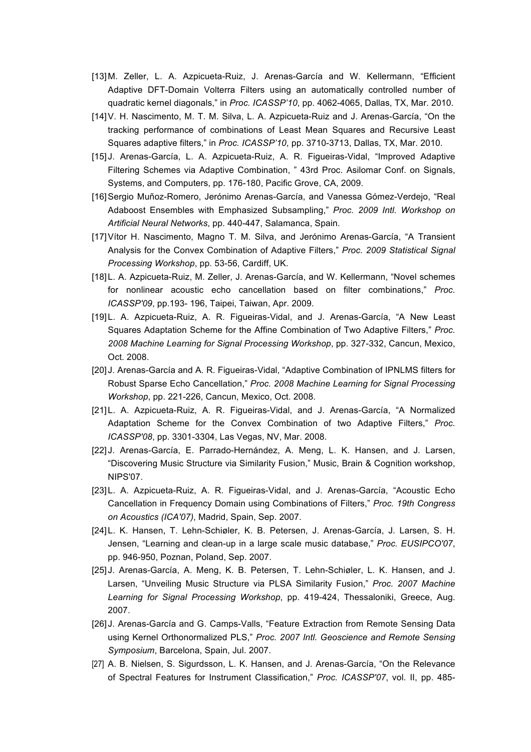- [13]M. Zeller, L. A. Azpicueta-Ruiz, J. Arenas-García and W. Kellermann, "Efficient Adaptive DFT-Domain Volterra Filters using an automatically controlled number of quadratic kernel diagonals," in *Proc. ICASSP'10*, pp. 4062-4065, Dallas, TX, Mar. 2010.
- [14]V. H. Nascimento, M. T. M. Silva, L. A. Azpicueta-Ruiz and J. Arenas-García, "On the tracking performance of combinations of Least Mean Squares and Recursive Least Squares adaptive filters," in *Proc. ICASSP'10*, pp. 3710-3713, Dallas, TX, Mar. 2010.
- [15] J. Arenas-García, L. A. Azpicueta-Ruiz, A. R. Figueiras-Vidal, "Improved Adaptive Filtering Schemes via Adaptive Combination, " 43rd Proc. Asilomar Conf. on Signals, Systems, and Computers, pp. 176-180, Pacific Grove, CA, 2009.
- [16]Sergio Muñoz-Romero, Jerónimo Arenas-García, and Vanessa Gómez-Verdejo, "Real Adaboost Ensembles with Emphasized Subsampling," *Proc. 2009 Intl. Workshop on Artificial Neural Networks*, pp. 440-447, Salamanca, Spain.
- [17]Vítor H. Nascimento, Magno T. M. Silva, and Jerónimo Arenas-García, "A Transient Analysis for the Convex Combination of Adaptive Filters," *Proc. 2009 Statistical Signal Processing Workshop*, pp. 53-56, Cardiff, UK.
- [18]L. A. Azpicueta-Ruiz, M. Zeller, J. Arenas-García, and W. Kellermann, "Novel schemes for nonlinear acoustic echo cancellation based on filter combinations," *Proc. ICASSP'09*, pp.193- 196, Taipei, Taiwan, Apr. 2009.
- [19]L. A. Azpicueta-Ruiz, A. R. Figueiras-Vidal, and J. Arenas-García, "A New Least Squares Adaptation Scheme for the Affine Combination of Two Adaptive Filters," *Proc. 2008 Machine Learning for Signal Processing Workshop*, pp. 327-332, Cancun, Mexico, Oct. 2008.
- [20] J. Arenas-García and A. R. Figueiras-Vidal, "Adaptive Combination of IPNLMS filters for Robust Sparse Echo Cancellation," *Proc. 2008 Machine Learning for Signal Processing Workshop*, pp. 221-226, Cancun, Mexico, Oct. 2008.
- [21]L. A. Azpicueta-Ruiz, A. R. Figueiras-Vidal, and J. Arenas-García, "A Normalized Adaptation Scheme for the Convex Combination of two Adaptive Filters," *Proc. ICASSP'08*, pp. 3301-3304, Las Vegas, NV, Mar. 2008.
- [22] J. Arenas-García, E. Parrado-Hernández, A. Meng, L. K. Hansen, and J. Larsen, "Discovering Music Structure via Similarity Fusion," Music, Brain & Cognition workshop, NIPS'07.
- [23]L. A. Azpicueta-Ruiz, A. R. Figueiras-Vidal, and J. Arenas-García, "Acoustic Echo Cancellation in Frequency Domain using Combinations of Filters," *Proc. 19th Congress on Acoustics (ICA'07)*, Madrid, Spain, Sep. 2007.
- [24]L. K. Hansen, T. Lehn-Schiøler, K. B. Petersen, J. Arenas-García, J. Larsen, S. H. Jensen, "Learning and clean-up in a large scale music database," *Proc. EUSIPCO'07*, pp. 946-950, Poznan, Poland, Sep. 2007.
- [25] J. Arenas-García, A. Meng, K. B. Petersen, T. Lehn-Schiøler, L. K. Hansen, and J. Larsen, "Unveiling Music Structure via PLSA Similarity Fusion," *Proc. 2007 Machine Learning for Signal Processing Workshop*, pp. 419-424, Thessaloniki, Greece, Aug. 2007.
- [26] J. Arenas-García and G. Camps-Valls, "Feature Extraction from Remote Sensing Data using Kernel Orthonormalized PLS," *Proc. 2007 Intl. Geoscience and Remote Sensing Symposium*, Barcelona, Spain, Jul. 2007.
- [27] A. B. Nielsen, S. Sigurdsson, L. K. Hansen, and J. Arenas-García, "On the Relevance of Spectral Features for Instrument Classification," *Proc. ICASSP'07*, vol. II, pp. 485-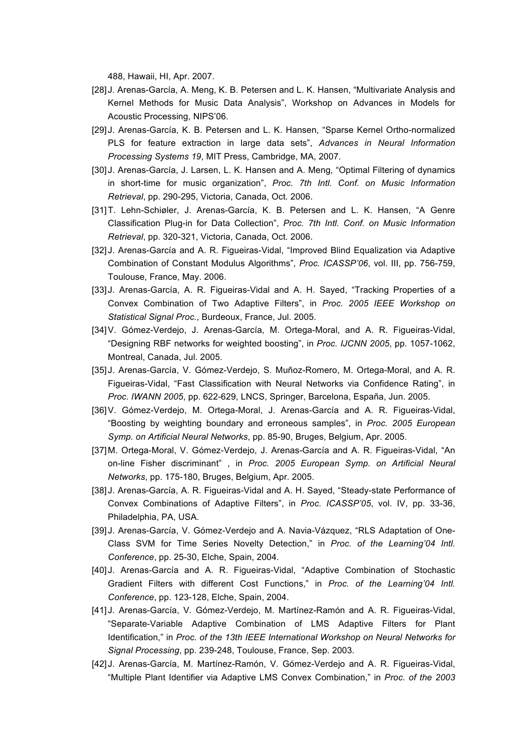488, Hawaii, HI, Apr. 2007.

- [28] J. Arenas-García, A. Meng, K. B. Petersen and L. K. Hansen, "Multivariate Analysis and Kernel Methods for Music Data Analysis", Workshop on Advances in Models for Acoustic Processing, NIPS'06.
- [29] J. Arenas-García, K. B. Petersen and L. K. Hansen, "Sparse Kernel Ortho-normalized PLS for feature extraction in large data sets", *Advances in Neural Information Processing Systems 19*, MIT Press, Cambridge, MA, 2007.
- [30] J. Arenas-García, J. Larsen, L. K. Hansen and A. Meng, "Optimal Filtering of dynamics in short-time for music organization", *Proc. 7th Intl. Conf. on Music Information Retrieval*, pp. 290-295, Victoria, Canada, Oct. 2006.
- [31]T. Lehn-Schiøler, J. Arenas-García, K. B. Petersen and L. K. Hansen, "A Genre Classification Plug-in for Data Collection", *Proc. 7th Intl. Conf. on Music Information Retrieval*, pp. 320-321, Victoria, Canada, Oct. 2006.
- [32] J. Arenas-García and A. R. Figueiras-Vidal, "Improved Blind Equalization via Adaptive Combination of Constant Modulus Algorithms", *Proc. ICASSP'06*, vol. III, pp. 756-759, Toulouse, France, May. 2006.
- [33] J. Arenas-García, A. R. Figueiras-Vidal and A. H. Sayed, "Tracking Properties of a Convex Combination of Two Adaptive Filters", in *Proc. 2005 IEEE Workshop on Statistical Signal Proc.*, Burdeoux, France, Jul. 2005.
- [34]V. Gómez-Verdejo, J. Arenas-García, M. Ortega-Moral, and A. R. Figueiras-Vidal, "Designing RBF networks for weighted boosting", in *Proc. IJCNN 2005*, pp. 1057-1062, Montreal, Canada, Jul. 2005.
- [35] J. Arenas-García, V. Gómez-Verdejo, S. Muñoz-Romero, M. Ortega-Moral, and A. R. Figueiras-Vidal, "Fast Classification with Neural Networks via Confidence Rating", in *Proc. IWANN 2005*, pp. 622-629, LNCS, Springer, Barcelona, España, Jun. 2005.
- [36]V. Gómez-Verdejo, M. Ortega-Moral, J. Arenas-García and A. R. Figueiras-Vidal, "Boosting by weighting boundary and erroneous samples", in *Proc. 2005 European Symp. on Artificial Neural Networks*, pp. 85-90, Bruges, Belgium, Apr. 2005.
- [37]M. Ortega-Moral, V. Gómez-Verdejo, J. Arenas-García and A. R. Figueiras-Vidal, "An on-line Fisher discriminant" , in *Proc. 2005 European Symp. on Artificial Neural Networks*, pp. 175-180, Bruges, Belgium, Apr. 2005.
- [38] J. Arenas-García, A. R. Figueiras-Vidal and A. H. Sayed, "Steady-state Performance of Convex Combinations of Adaptive Filters", in *Proc. ICASSP'05*, vol. IV, pp. 33-36, Philadelphia, PA, USA.
- [39] J. Arenas-García, V. Gómez-Verdejo and A. Navia-Vázquez, "RLS Adaptation of One-Class SVM for Time Series Novelty Detection," in *Proc. of the Learning'04 Intl. Conference*, pp. 25-30, Elche, Spain, 2004.
- [40] J. Arenas-García and A. R. Figueiras-Vidal, "Adaptive Combination of Stochastic Gradient Filters with different Cost Functions," in *Proc. of the Learning'04 Intl. Conference*, pp. 123-128, Elche, Spain, 2004.
- [41] J. Arenas-García, V. Gómez-Verdejo, M. Martínez-Ramón and A. R. Figueiras-Vidal, "Separate-Variable Adaptive Combination of LMS Adaptive Filters for Plant Identification," in *Proc. of the 13th IEEE International Workshop on Neural Networks for Signal Processing*, pp. 239-248, Toulouse, France, Sep. 2003.
- [42] J. Arenas-García, M. Martínez-Ramón, V. Gómez-Verdejo and A. R. Figueiras-Vidal, "Multiple Plant Identifier via Adaptive LMS Convex Combination," in *Proc. of the 2003*